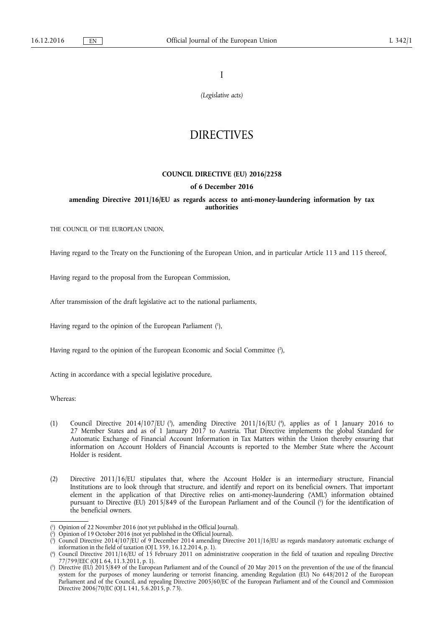I

*(Legislative acts)* 

# DIRECTIVES

## **COUNCIL DIRECTIVE (EU) 2016/2258**

#### **of 6 December 2016**

**amending Directive 2011/16/EU as regards access to anti-money-laundering information by tax authorities** 

THE COUNCIL OF THE EUROPEAN UNION,

Having regard to the Treaty on the Functioning of the European Union, and in particular Article 113 and 115 thereof,

Having regard to the proposal from the European Commission,

After transmission of the draft legislative act to the national parliaments,

Having regard to the opinion of the European Parliament (1),

Having regard to the opinion of the European Economic and Social Committee (2),

Acting in accordance with a special legislative procedure,

Whereas:

- (1) Council Directive 2014/107/EU ( $\text{^3}$ ), amending Directive 2011/16/EU ( $\text{^4}$ ), applies as of 1 January 2016 to 27 Member States and as of 1 January 2017 to Austria. That Directive implements the global Standard for Automatic Exchange of Financial Account Information in Tax Matters within the Union thereby ensuring that information on Account Holders of Financial Accounts is reported to the Member State where the Account Holder is resident.
- (2) Directive 2011/16/EU stipulates that, where the Account Holder is an intermediary structure, Financial Institutions are to look through that structure, and identify and report on its beneficial owners. That important element in the application of that Directive relies on anti-money-laundering ('AML') information obtained pursuant to Directive (EU) 2015/849 of the European Parliament and of the Council (5) for the identification of the beneficial owners.

<sup>(</sup> 1 ) Opinion of 22 November 2016 (not yet published in the Official Journal).

<sup>(</sup> 2 ) Opinion of 19 October 2016 (not yet published in the Official Journal).

<sup>(</sup> 3 ) Council Directive 2014/107/EU of 9 December 2014 amending Directive 2011/16/EU as regards mandatory automatic exchange of information in the field of taxation (OJ L 359, 16.12.2014, p. 1).

<sup>(</sup> 4 ) Council Directive 2011/16/EU of 15 February 2011 on administrative cooperation in the field of taxation and repealing Directive 77/799/EEC (OJ L 64, 11.3.2011, p. 1).

<sup>(</sup> 5 ) Directive (EU) 2015/849 of the European Parliament and of the Council of 20 May 2015 on the prevention of the use of the financial system for the purposes of money laundering or terrorist financing, amending Regulation (EU) No 648/2012 of the European Parliament and of the Council, and repealing Directive 2005/60/EC of the European Parliament and of the Council and Commission Directive 2006/70/EC (OJ L 141, 5.6.2015, p. 73).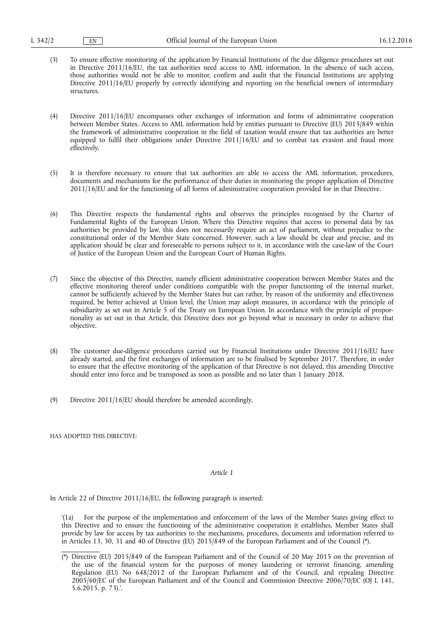(3) To ensure effective monitoring of the application by Financial Institutions of the due diligence procedures set out in Directive 2011/16/EU, the tax authorities need access to AML information. In the absence of such access, those authorities would not be able to monitor, confirm and audit that the Financial Institutions are applying Directive 2011/16/EU properly by correctly identifying and reporting on the beneficial owners of intermediary structures.

(4) Directive 2011/16/EU encompasses other exchanges of information and forms of administrative cooperation between Member States. Access to AML information held by entities pursuant to Directive (EU) 2015/849 within the framework of administrative cooperation in the field of taxation would ensure that tax authorities are better equipped to fulfil their obligations under Directive 2011/16/EU and to combat tax evasion and fraud more effectively.

- (5) It is therefore necessary to ensure that tax authorities are able to access the AML information, procedures, documents and mechanisms for the performance of their duties in monitoring the proper application of Directive 2011/16/EU and for the functioning of all forms of administrative cooperation provided for in that Directive.
- (6) This Directive respects the fundamental rights and observes the principles recognised by the Charter of Fundamental Rights of the European Union. Where this Directive requires that access to personal data by tax authorities be provided by law, this does not necessarily require an act of parliament, without prejudice to the constitutional order of the Member State concerned. However, such a law should be clear and precise, and its application should be clear and foreseeable to persons subject to it, in accordance with the case-law of the Court of Justice of the European Union and the European Court of Human Rights.
- (7) Since the objective of this Directive, namely efficient administrative cooperation between Member States and the effective monitoring thereof under conditions compatible with the proper functioning of the internal market, cannot be sufficiently achieved by the Member States but can rather, by reason of the uniformity and effectiveness required, be better achieved at Union level, the Union may adopt measures, in accordance with the principle of subsidiarity as set out in Article 5 of the Treaty on European Union. In accordance with the principle of proportionality as set out in that Article, this Directive does not go beyond what is necessary in order to achieve that objective.
- (8) The customer due-diligence procedures carried out by Financial Institutions under Directive 2011/16/EU have already started, and the first exchanges of information are to be finalised by September 2017. Therefore, in order to ensure that the effective monitoring of the application of that Directive is not delayed, this amending Directive should enter into force and be transposed as soon as possible and no later than 1 January 2018.
- (9) Directive 2011/16/EU should therefore be amended accordingly,

HAS ADOPTED THIS DIRECTIVE:

### *Article 1*

In Article 22 of Directive 2011/16/EU, the following paragraph is inserted:

'(1a) For the purpose of the implementation and enforcement of the laws of the Member States giving effect to this Directive and to ensure the functioning of the administrative cooperation it establishes, Member States shall provide by law for access by tax authorities to the mechanisms, procedures, documents and information referred to in Articles 13, 30, 31 and 40 of Directive (EU) 2015/849 of the European Parliament and of the Council (\*).

<sup>(\*)</sup> Directive (EU) 2015/849 of the European Parliament and of the Council of 20 May 2015 on the prevention of the use of the financial system for the purposes of money laundering or terrorist financing, amending Regulation (EU) No 648/2012 of the European Parliament and of the Council, and repealing Directive 2005/60/EC of the European Parliament and of the Council and Commission Directive 2006/70/EC (OJ L 141, 5.6.2015, p. 73).'.